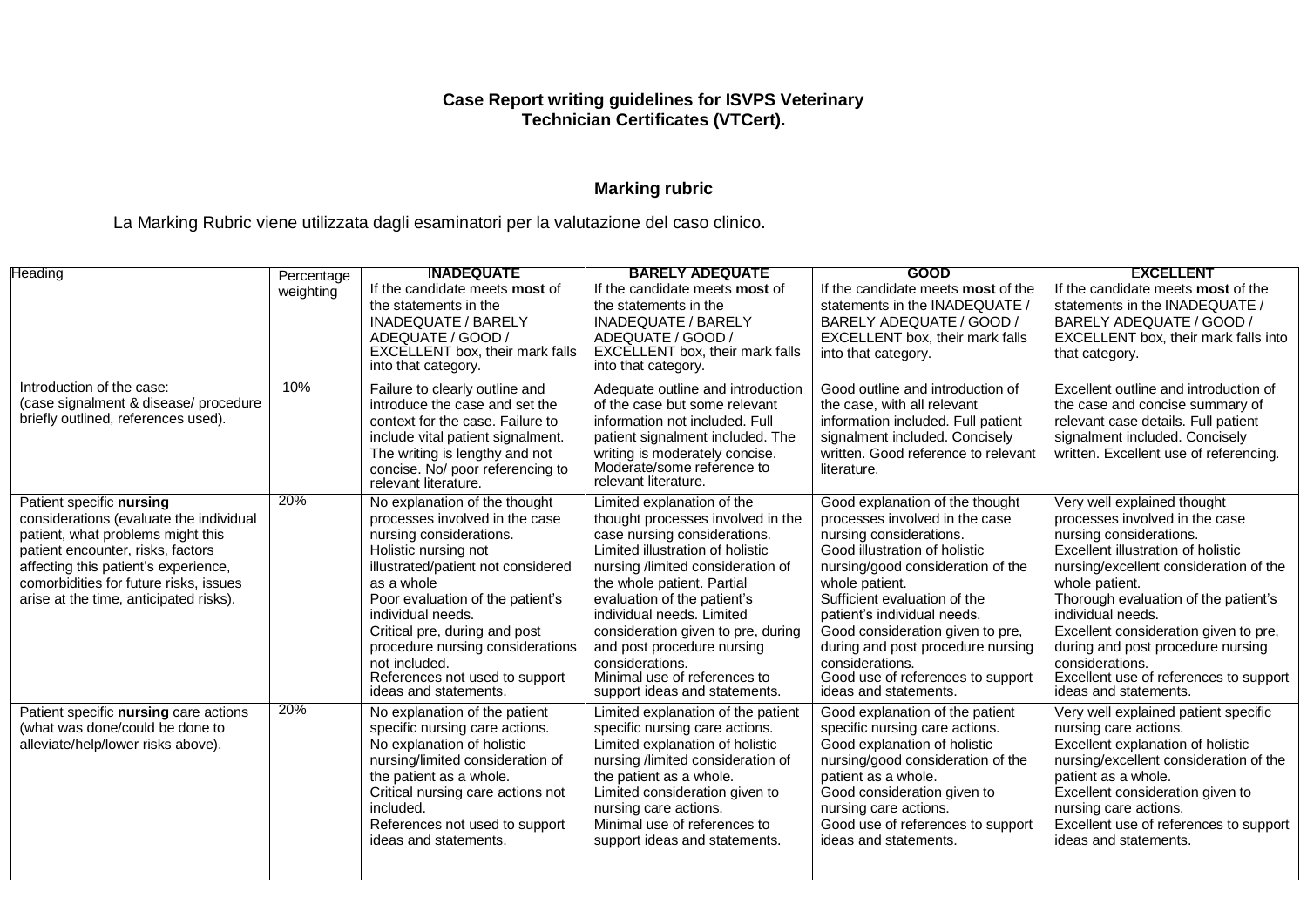#### **Case Report writing guidelines for ISVPS Veterinary Technician Certificates (VTCert).**

# **Marking rubric**

La Marking Rubric viene utilizzata dagli esaminatori per la valutazione del caso clinico.

| Heading                                                                                                                                                                                                                                                                   | Percentage | <b>INADEQUATE</b>                                                                                                                                                                                                                                                                                                                                                                | <b>BARELY ADEQUATE</b>                                                                                                                                                                                                                                                                                                                                                                                                     | <b>GOOD</b>                                                                                                                                                                                                                                                                                                                                                                                                   | <b>EXCELLENT</b>                                                                                                                                                                                                                                                                                                                                                                                                            |
|---------------------------------------------------------------------------------------------------------------------------------------------------------------------------------------------------------------------------------------------------------------------------|------------|----------------------------------------------------------------------------------------------------------------------------------------------------------------------------------------------------------------------------------------------------------------------------------------------------------------------------------------------------------------------------------|----------------------------------------------------------------------------------------------------------------------------------------------------------------------------------------------------------------------------------------------------------------------------------------------------------------------------------------------------------------------------------------------------------------------------|---------------------------------------------------------------------------------------------------------------------------------------------------------------------------------------------------------------------------------------------------------------------------------------------------------------------------------------------------------------------------------------------------------------|-----------------------------------------------------------------------------------------------------------------------------------------------------------------------------------------------------------------------------------------------------------------------------------------------------------------------------------------------------------------------------------------------------------------------------|
|                                                                                                                                                                                                                                                                           | weighting  | If the candidate meets <b>most</b> of<br>the statements in the<br><b>INADEQUATE / BARELY</b><br>ADEQUATE / GOOD /<br>EXCELLENT box, their mark falls<br>into that category.                                                                                                                                                                                                      | If the candidate meets <b>most</b> of<br>the statements in the<br><b>INADEQUATE / BARELY</b><br>ADEQUATE / GOOD /<br>EXCELLENT box, their mark falls<br>into that category.                                                                                                                                                                                                                                                | If the candidate meets most of the<br>statements in the INADEQUATE /<br>BARELY ADEQUATE / GOOD /<br>EXCELLENT box, their mark falls<br>into that category.                                                                                                                                                                                                                                                    | If the candidate meets most of the<br>statements in the INADEQUATE /<br>BARELY ADEQUATE / GOOD /<br>EXCELLENT box, their mark falls into<br>that category.                                                                                                                                                                                                                                                                  |
| Introduction of the case:<br>(case signalment & disease/ procedure<br>briefly outlined, references used).                                                                                                                                                                 | 10%        | Failure to clearly outline and<br>introduce the case and set the<br>context for the case. Failure to<br>include vital patient signalment.<br>The writing is lengthy and not<br>concise. No/ poor referencing to<br>relevant literature.                                                                                                                                          | Adequate outline and introduction<br>of the case but some relevant<br>information not included. Full<br>patient signalment included. The<br>writing is moderately concise.<br>Moderate/some reference to<br>relevant literature.                                                                                                                                                                                           | Good outline and introduction of<br>the case, with all relevant<br>information included. Full patient<br>signalment included. Concisely<br>written. Good reference to relevant<br>literature.                                                                                                                                                                                                                 | Excellent outline and introduction of<br>the case and concise summary of<br>relevant case details. Full patient<br>signalment included. Concisely<br>written. Excellent use of referencing.                                                                                                                                                                                                                                 |
| Patient specific nursing<br>considerations (evaluate the individual<br>patient, what problems might this<br>patient encounter, risks, factors<br>affecting this patient's experience,<br>comorbidities for future risks, issues<br>arise at the time, anticipated risks). | 20%        | No explanation of the thought<br>processes involved in the case<br>nursing considerations.<br>Holistic nursing not<br>illustrated/patient not considered<br>as a whole<br>Poor evaluation of the patient's<br>individual needs.<br>Critical pre, during and post<br>procedure nursing considerations<br>not included.<br>References not used to support<br>ideas and statements. | Limited explanation of the<br>thought processes involved in the<br>case nursing considerations.<br>Limited illustration of holistic<br>nursing /limited consideration of<br>the whole patient. Partial<br>evaluation of the patient's<br>individual needs. Limited<br>consideration given to pre, during<br>and post procedure nursing<br>considerations.<br>Minimal use of references to<br>support ideas and statements. | Good explanation of the thought<br>processes involved in the case<br>nursing considerations.<br>Good illustration of holistic<br>nursing/good consideration of the<br>whole patient.<br>Sufficient evaluation of the<br>patient's individual needs.<br>Good consideration given to pre,<br>during and post procedure nursing<br>considerations.<br>Good use of references to support<br>ideas and statements. | Very well explained thought<br>processes involved in the case<br>nursing considerations.<br>Excellent illustration of holistic<br>nursing/excellent consideration of the<br>whole patient.<br>Thorough evaluation of the patient's<br>individual needs.<br>Excellent consideration given to pre,<br>during and post procedure nursing<br>considerations.<br>Excellent use of references to support<br>ideas and statements. |
| Patient specific nursing care actions<br>(what was done/could be done to<br>alleviate/help/lower risks above).                                                                                                                                                            | 20%        | No explanation of the patient<br>specific nursing care actions.<br>No explanation of holistic<br>nursing/limited consideration of<br>the patient as a whole.<br>Critical nursing care actions not<br>included.<br>References not used to support<br>ideas and statements.                                                                                                        | Limited explanation of the patient<br>specific nursing care actions.<br>Limited explanation of holistic<br>nursing /limited consideration of<br>the patient as a whole.<br>Limited consideration given to<br>nursing care actions.<br>Minimal use of references to<br>support ideas and statements.                                                                                                                        | Good explanation of the patient<br>specific nursing care actions.<br>Good explanation of holistic<br>nursing/good consideration of the<br>patient as a whole.<br>Good consideration given to<br>nursing care actions.<br>Good use of references to support<br>ideas and statements.                                                                                                                           | Very well explained patient specific<br>nursing care actions.<br>Excellent explanation of holistic<br>nursing/excellent consideration of the<br>patient as a whole.<br>Excellent consideration given to<br>nursing care actions.<br>Excellent use of references to support<br>ideas and statements.                                                                                                                         |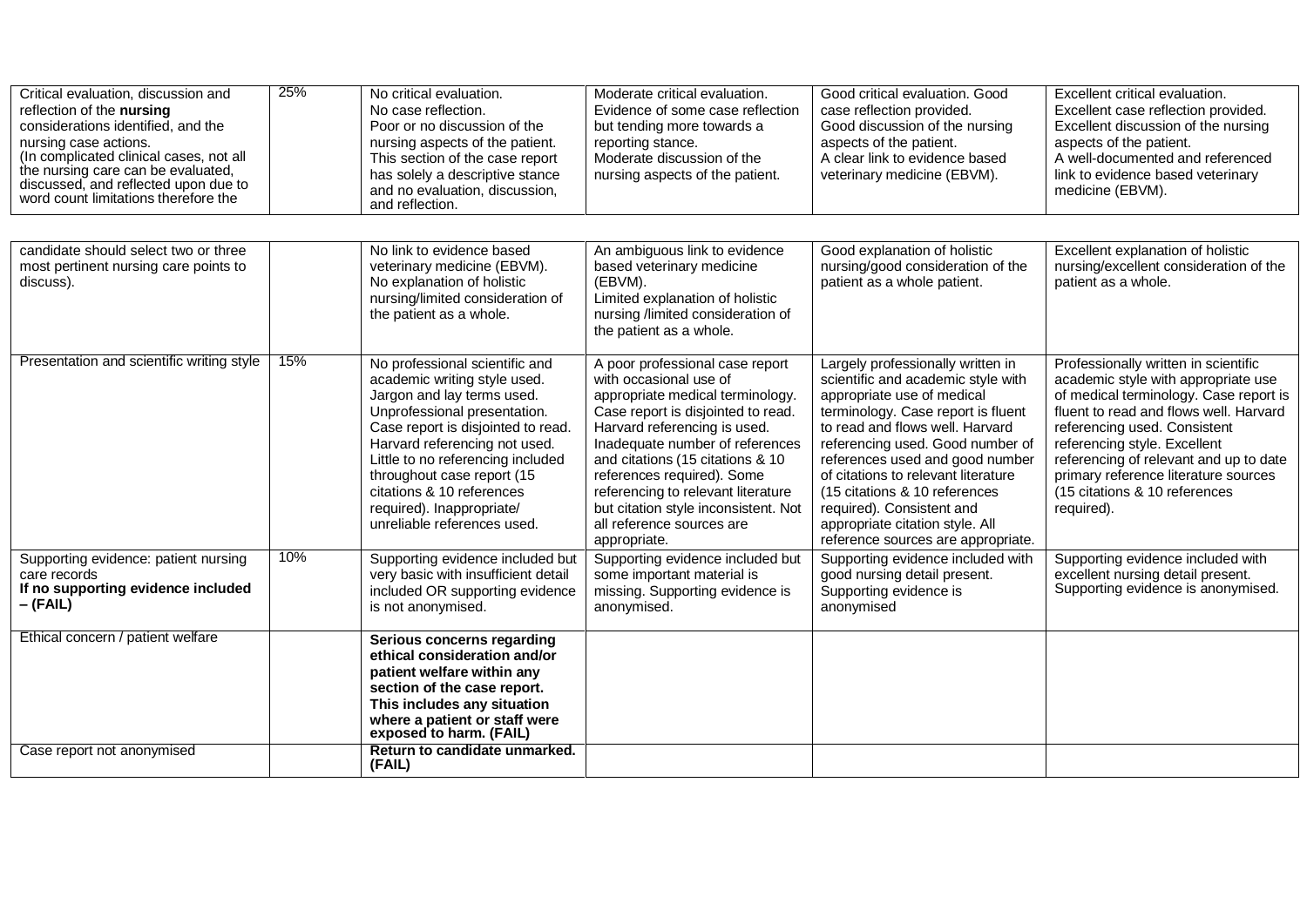| Critical evaluation, discussion and<br>reflection of the nursing<br>considerations identified, and the<br>nursing case actions.<br>(In complicated clinical cases, not all<br>the nursing care can be evaluated,<br>discussed, and reflected upon due to<br>word count limitations therefore the | 25% | No critical evaluation.<br>No case reflection.<br>Poor or no discussion of the<br>nursing aspects of the patient.<br>This section of the case report<br>has solely a descriptive stance<br>and no evaluation, discussion,<br>and reflection.                                                                                                                    | Moderate critical evaluation.<br>Evidence of some case reflection<br>but tending more towards a<br>reporting stance.<br>Moderate discussion of the<br>nursing aspects of the patient.                                                                                                                                                                                                               | Good critical evaluation. Good<br>case reflection provided.<br>Good discussion of the nursing<br>aspects of the patient.<br>A clear link to evidence based<br>veterinary medicine (EBVM).                                                                                                                                                                                                                                           | Excellent critical evaluation.<br>Excellent case reflection provided.<br>Excellent discussion of the nursing<br>aspects of the patient.<br>A well-documented and referenced<br>link to evidence based veterinary<br>medicine (EBVM).                                                                                                                             |
|--------------------------------------------------------------------------------------------------------------------------------------------------------------------------------------------------------------------------------------------------------------------------------------------------|-----|-----------------------------------------------------------------------------------------------------------------------------------------------------------------------------------------------------------------------------------------------------------------------------------------------------------------------------------------------------------------|-----------------------------------------------------------------------------------------------------------------------------------------------------------------------------------------------------------------------------------------------------------------------------------------------------------------------------------------------------------------------------------------------------|-------------------------------------------------------------------------------------------------------------------------------------------------------------------------------------------------------------------------------------------------------------------------------------------------------------------------------------------------------------------------------------------------------------------------------------|------------------------------------------------------------------------------------------------------------------------------------------------------------------------------------------------------------------------------------------------------------------------------------------------------------------------------------------------------------------|
|                                                                                                                                                                                                                                                                                                  |     |                                                                                                                                                                                                                                                                                                                                                                 |                                                                                                                                                                                                                                                                                                                                                                                                     |                                                                                                                                                                                                                                                                                                                                                                                                                                     |                                                                                                                                                                                                                                                                                                                                                                  |
| candidate should select two or three<br>most pertinent nursing care points to<br>discuss).                                                                                                                                                                                                       |     | No link to evidence based<br>veterinary medicine (EBVM).<br>No explanation of holistic<br>nursing/limited consideration of<br>the patient as a whole.                                                                                                                                                                                                           | An ambiguous link to evidence<br>based veterinary medicine<br>(EBVM).<br>Limited explanation of holistic<br>nursing /limited consideration of<br>the patient as a whole.                                                                                                                                                                                                                            | Good explanation of holistic<br>nursing/good consideration of the<br>patient as a whole patient.                                                                                                                                                                                                                                                                                                                                    | Excellent explanation of holistic<br>nursing/excellent consideration of the<br>patient as a whole.                                                                                                                                                                                                                                                               |
| Presentation and scientific writing style                                                                                                                                                                                                                                                        | 15% | No professional scientific and<br>academic writing style used.<br>Jargon and lay terms used.<br>Unprofessional presentation.<br>Case report is disjointed to read.<br>Harvard referencing not used.<br>Little to no referencing included<br>throughout case report (15<br>citations & 10 references<br>required). Inappropriate/<br>unreliable references used. | A poor professional case report<br>with occasional use of<br>appropriate medical terminology.<br>Case report is disjointed to read.<br>Harvard referencing is used.<br>Inadequate number of references<br>and citations (15 citations & 10<br>references required). Some<br>referencing to relevant literature<br>but citation style inconsistent. Not<br>all reference sources are<br>appropriate. | Largely professionally written in<br>scientific and academic style with<br>appropriate use of medical<br>terminology. Case report is fluent<br>to read and flows well. Harvard<br>referencing used. Good number of<br>references used and good number<br>of citations to relevant literature<br>(15 citations & 10 references<br>required). Consistent and<br>appropriate citation style. All<br>reference sources are appropriate. | Professionally written in scientific<br>academic style with appropriate use<br>of medical terminology. Case report is<br>fluent to read and flows well. Harvard<br>referencing used. Consistent<br>referencing style. Excellent<br>referencing of relevant and up to date<br>primary reference literature sources<br>(15 citations & 10 references<br>required). |
| Supporting evidence: patient nursing<br>care records<br>If no supporting evidence included<br>$-(FAIL)$                                                                                                                                                                                          | 10% | Supporting evidence included but<br>very basic with insufficient detail<br>included OR supporting evidence<br>is not anonymised.                                                                                                                                                                                                                                | Supporting evidence included but<br>some important material is<br>missing. Supporting evidence is<br>anonymised.                                                                                                                                                                                                                                                                                    | Supporting evidence included with<br>good nursing detail present.<br>Supporting evidence is<br>anonymised                                                                                                                                                                                                                                                                                                                           | Supporting evidence included with<br>excellent nursing detail present.<br>Supporting evidence is anonymised.                                                                                                                                                                                                                                                     |
| Ethical concern / patient welfare                                                                                                                                                                                                                                                                |     | Serious concerns regarding<br>ethical consideration and/or<br>patient welfare within any<br>section of the case report.<br>This includes any situation<br>where a patient or staff were<br>exposed to harm. (FAIL)                                                                                                                                              |                                                                                                                                                                                                                                                                                                                                                                                                     |                                                                                                                                                                                                                                                                                                                                                                                                                                     |                                                                                                                                                                                                                                                                                                                                                                  |
| Case report not anonymised                                                                                                                                                                                                                                                                       |     | Return to candidate unmarked.<br>(FAIL)                                                                                                                                                                                                                                                                                                                         |                                                                                                                                                                                                                                                                                                                                                                                                     |                                                                                                                                                                                                                                                                                                                                                                                                                                     |                                                                                                                                                                                                                                                                                                                                                                  |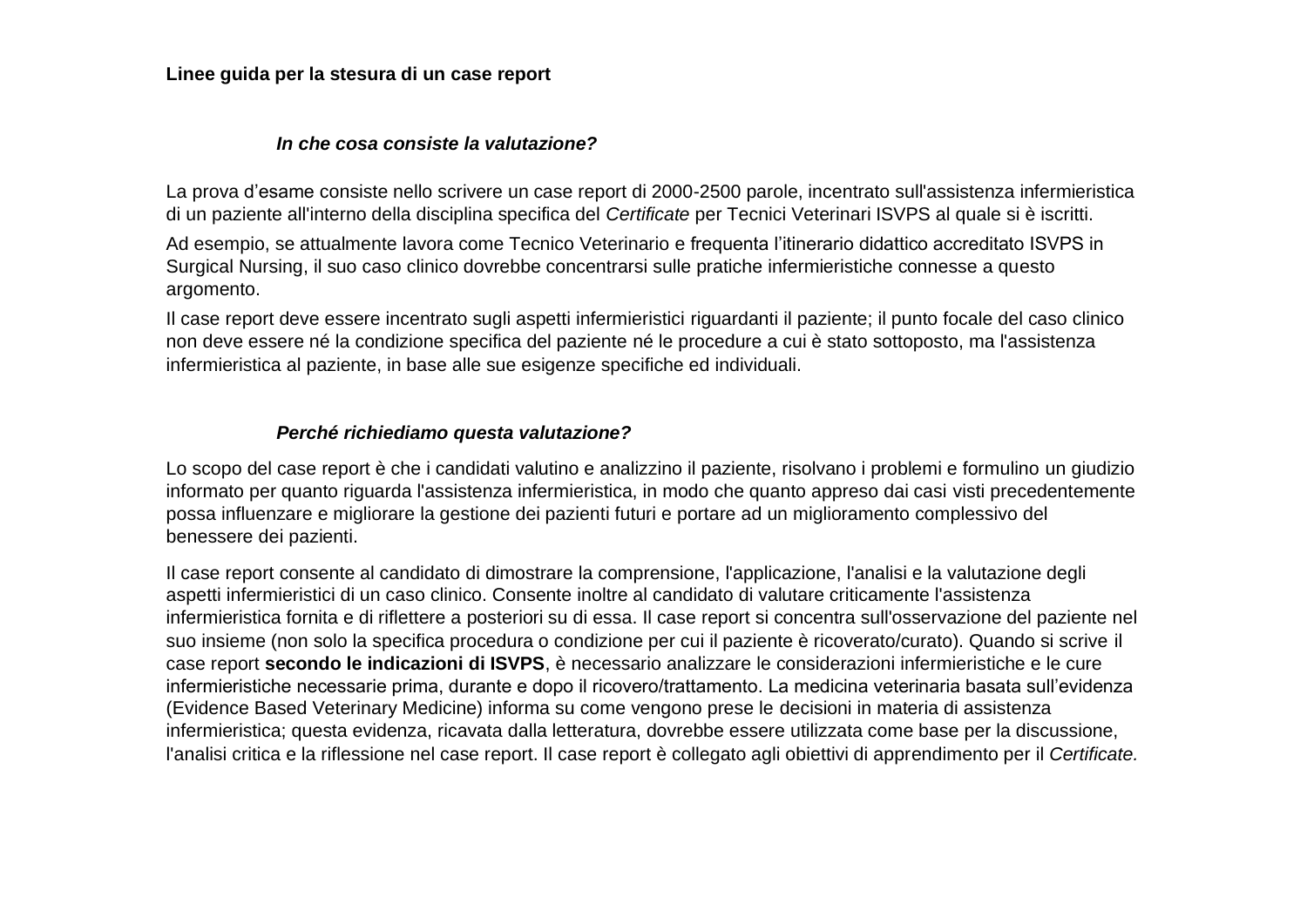**Linee guida per la stesura di un case report**

#### *In che cosa consiste la valutazione?*

La prova d'esame consiste nello scrivere un case report di 2000-2500 parole, incentrato sull'assistenza infermieristica di un paziente all'interno della disciplina specifica del *Certificate* per Tecnici Veterinari ISVPS al quale si è iscritti.

Ad esempio, se attualmente lavora come Tecnico Veterinario e frequenta l'itinerario didattico accreditato ISVPS in Surgical Nursing, il suo caso clinico dovrebbe concentrarsi sulle pratiche infermieristiche connesse a questo argomento.

Il case report deve essere incentrato sugli aspetti infermieristici riguardanti il paziente; il punto focale del caso clinico non deve essere né la condizione specifica del paziente né le procedure a cui è stato sottoposto, ma l'assistenza infermieristica al paziente, in base alle sue esigenze specifiche ed individuali.

# *Perché richiediamo questa valutazione?*

Lo scopo del case report è che i candidati valutino e analizzino il paziente, risolvano i problemi e formulino un giudizio informato per quanto riguarda l'assistenza infermieristica, in modo che quanto appreso dai casi visti precedentemente possa influenzare e migliorare la gestione dei pazienti futuri e portare ad un miglioramento complessivo del benessere dei pazienti.

Il case report consente al candidato di dimostrare la comprensione, l'applicazione, l'analisi e la valutazione degli aspetti infermieristici di un caso clinico. Consente inoltre al candidato di valutare criticamente l'assistenza infermieristica fornita e di riflettere a posteriori su di essa. Il case report si concentra sull'osservazione del paziente nel suo insieme (non solo la specifica procedura o condizione per cui il paziente è ricoverato/curato). Quando si scrive il case report **secondo le indicazioni di ISVPS**, è necessario analizzare le considerazioni infermieristiche e le cure infermieristiche necessarie prima, durante e dopo il ricovero/trattamento. La medicina veterinaria basata sull'evidenza (Evidence Based Veterinary Medicine) informa su come vengono prese le decisioni in materia di assistenza infermieristica; questa evidenza, ricavata dalla letteratura, dovrebbe essere utilizzata come base per la discussione, l'analisi critica e la riflessione nel case report. Il case report è collegato agli obiettivi di apprendimento per il *Certificate.*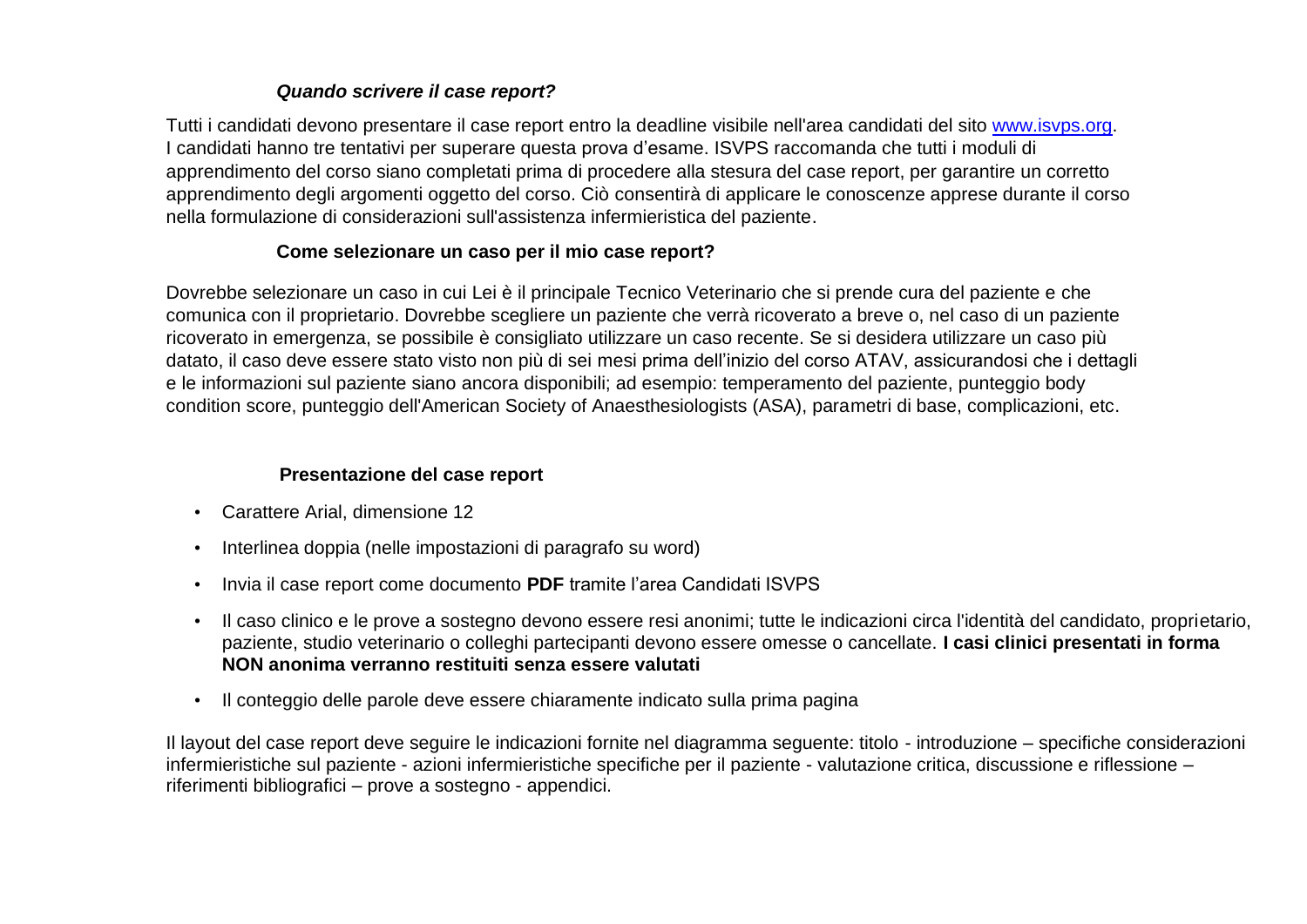# *Quando scrivere il case report?*

Tutti i candidati devono presentare il case report entro la deadline visibile nell'area candidati del sito [www.isvps.org.](http://www.isvps.org/) I candidati hanno tre tentativi per superare questa prova d'esame. ISVPS raccomanda che tutti i moduli di apprendimento del corso siano completati prima di procedere alla stesura del case report, per garantire un corretto apprendimento degli argomenti oggetto del corso. Ciò consentirà di applicare le conoscenze apprese durante il corso nella formulazione di considerazioni sull'assistenza infermieristica del paziente.

# **Come selezionare un caso per il mio case report?**

Dovrebbe selezionare un caso in cui Lei è il principale Tecnico Veterinario che si prende cura del paziente e che comunica con il proprietario. Dovrebbe scegliere un paziente che verrà ricoverato a breve o, nel caso di un paziente ricoverato in emergenza, se possibile è consigliato utilizzare un caso recente. Se si desidera utilizzare un caso più datato, il caso deve essere stato visto non più di sei mesi prima dell'inizio del corso ATAV, assicurandosi che i dettagli e le informazioni sul paziente siano ancora disponibili; ad esempio: temperamento del paziente, punteggio body condition score, punteggio dell'American Society of Anaesthesiologists (ASA), parametri di base, complicazioni, etc.

# **Presentazione del case report**

- Carattere Arial, dimensione 12
- Interlinea doppia (nelle impostazioni di paragrafo su word)
- Invia il case report come documento **PDF** tramite l'area Candidati ISVPS
- Il caso clinico e le prove a sostegno devono essere resi anonimi; tutte le indicazioni circa l'identità del candidato, proprietario, paziente, studio veterinario o colleghi partecipanti devono essere omesse o cancellate. **I casi clinici presentati in forma NON anonima verranno restituiti senza essere valutati**
- Il conteggio delle parole deve essere chiaramente indicato sulla prima pagina

Il layout del case report deve seguire le indicazioni fornite nel diagramma seguente: titolo - introduzione – specifiche considerazioni infermieristiche sul paziente - azioni infermieristiche specifiche per il paziente - valutazione critica, discussione e riflessione – riferimenti bibliografici – prove a sostegno - appendici.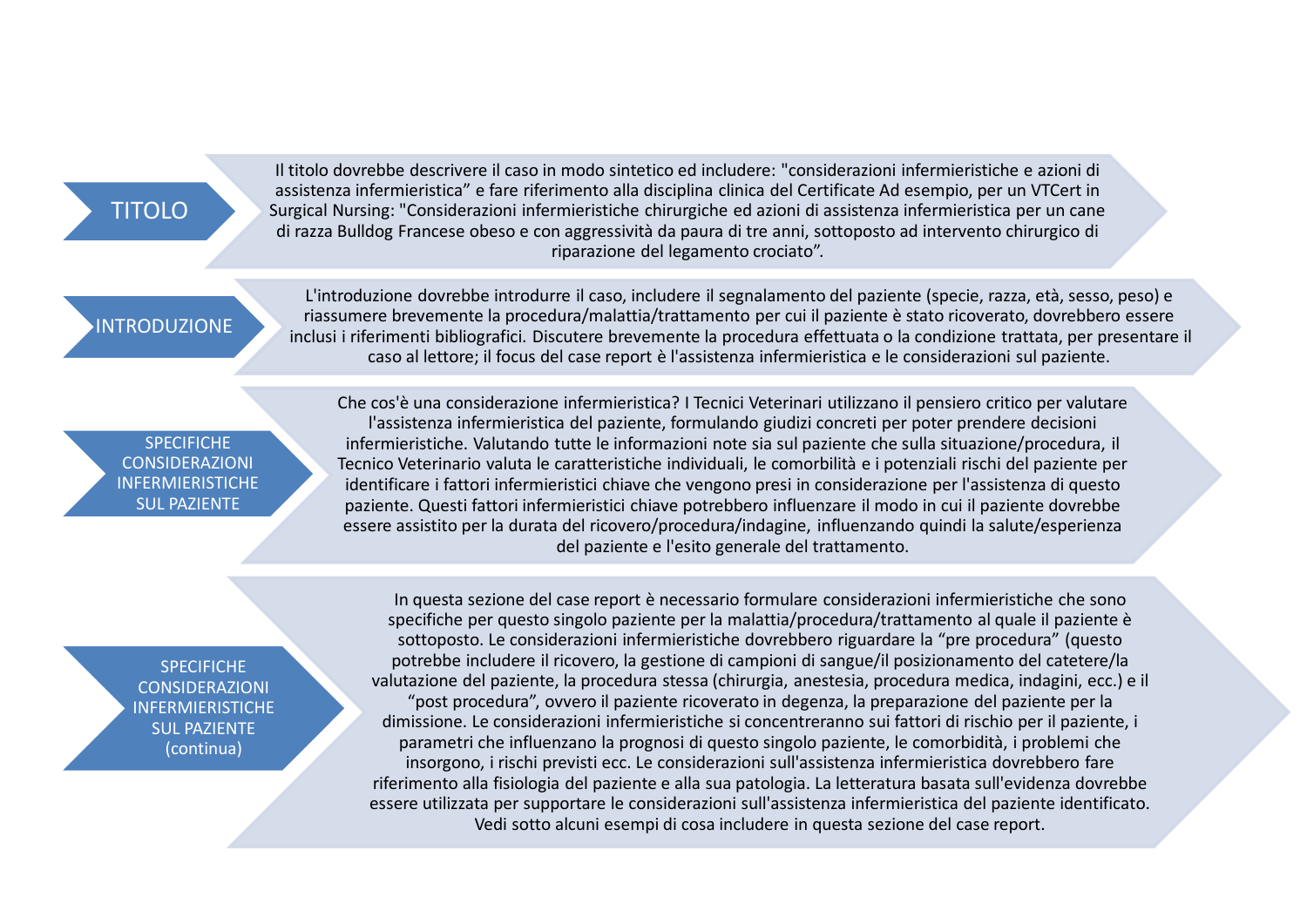# TITOLO

Il titolo dovrebbe descrivere il caso in modo sintetico ed includere: "considerazioni infermieristiche e azioni di assistenza infermieristica" e fare riferimento alla disciplina clinica del Certificate Ad esempio, per un VTCert in Surgical Nursing: "Considerazioni infermieristiche chirurgiche ed azioni di assistenza infermieristica per un cane di razza Bulldog Francese obeso e con aggressività da paura di tre anni, sottoposto ad intervento chirurgico di riparazione del legamento crociato".

# **INTRODUZIONE**

L'introduzione dovrebbe introdurre il caso, includere il segnalamento del paziente (specie, razza, età, sesso, peso) e riassumere brevemente la procedura/malattia/trattamento per cui il paziente è stato ricoverato, dovrebbero essere inclusi i riferimenti bibliografici. Discutere brevemente la procedura effettuata o la condizione trattata, per presentare il caso al lettore; il focus del case report è l'assistenza infermieristica e le considerazioni sul paziente.

#### **SPECIFICHE** CONSIDERAZIONI INFERMIERISTICHE SUL PAZIENTE

Che cos'è una considerazione infermieristica? I Tecnici Veterinari utilizzano il pensiero critico per valutare l'assistenza infermieristica del paziente, formulando giudizi concreti per poter prendere decisioni infermieristiche. Valutando tutte le informazioni note sia sul paziente che sulla situazione/procedura, il Tecnico Veterinario valuta le caratteristiche individuali, le comorbilità e i potenziali rischi del paziente per identificare i fattori infermieristici chiave che vengono presi in considerazione per l'assistenza di questo paziente. Questi fattori infermieristici chiave potrebbero influenzare il modo in cui il paziente dovrebbe essere assistito per la durata del ricovero/procedura/indagine, influenzando quindi la salute/esperienza del paziente e l'esito generale del trattamento.

**SPECIFICHE** CONSIDERAZIONI INFERMIERISTICHE SUL PAZIENTE (continua)

In questa sezione del case report è necessario formulare considerazioni infermieristiche che sono specifiche per questo singolo paziente per la malattia/procedura/trattamento al quale il paziente è sottoposto. Le considerazioni infermieristiche dovrebbero riguardare la "pre procedura" (questo potrebbe includere il ricovero, la gestione di campioni di sangue/il posizionamento del catetere/la valutazione del paziente, la procedura stessa (chirurgia, anestesia, procedura medica, indagini, ecc.) e il "post procedura", ovvero il paziente ricoverato in degenza, la preparazione del paziente per la dimissione. Le considerazioni infermieristiche si concentreranno sui fattori di rischio per il paziente, i parametri che influenzano la prognosi di questo singolo paziente, le comorbidità, i problemi che insorgono, i rischi previsti ecc. Le considerazioni sull'assistenza infermieristica dovrebbero fare riferimento alla fisiologia del paziente e alla sua patologia. La letteratura basata sull'evidenza dovrebbe essere utilizzata per supportare le considerazioni sull'assistenza infermieristica del paziente identificato. Vedi sotto alcuni esempi di cosa includere in questa sezione del case report.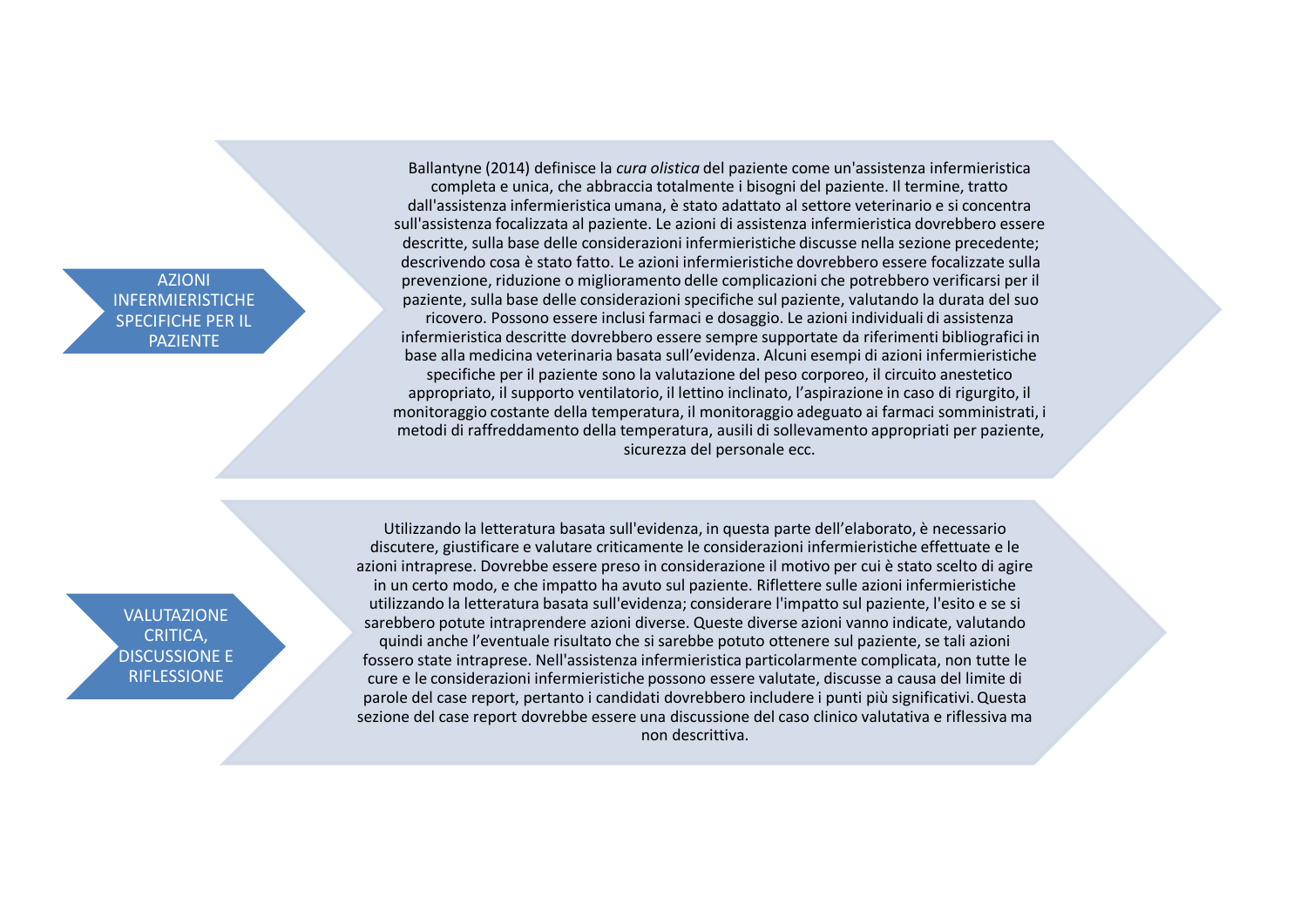AZIONI INFERMIERISTICHE SPECIFICHE PER IL PAZIENTE

Ballantyne (2014) definisce la *cura olistica* del paziente come un'assistenza infermieristica completa e unica, che abbraccia totalmente i bisogni del paziente. Il termine, tratto dall'assistenza infermieristica umana, è stato adattato al settore veterinario e si concentra sull'assistenza focalizzata al paziente. Le azioni di assistenza infermieristica dovrebbero essere descritte, sulla base delle considerazioni infermieristiche discusse nella sezione precedente; descrivendo cosa è stato fatto. Le azioni infermieristiche dovrebbero essere focalizzate sulla prevenzione, riduzione o miglioramento delle complicazioni che potrebbero verificarsi per il paziente, sulla base delle considerazioni specifiche sul paziente, valutando la durata del suo ricovero. Possono essere inclusi farmaci e dosaggio. Le azioni individuali di assistenza infermieristica descritte dovrebbero essere sempre supportate da riferimenti bibliografici in base alla medicina veterinaria basata sull'evidenza. Alcuni esempi di azioni infermieristiche specifiche per il paziente sono la valutazione del peso corporeo, il circuito anestetico appropriato, il supporto ventilatorio, il lettino inclinato, l'aspirazione in caso di rigurgito, il monitoraggio costante della temperatura, il monitoraggio adeguato ai farmaci somministrati, i metodi di raffreddamento della temperatura, ausili di sollevamento appropriati per paziente, sicurezza del personale ecc.

VALUTAZIONE CRITICA, DISCUSSIONE E RIFLESSIONE

Utilizzando la letteratura basata sull'evidenza, in questa parte dell'elaborato, è necessario discutere, giustificare e valutare criticamente le considerazioni infermieristiche effettuate e le azioni intraprese. Dovrebbe essere preso in considerazione il motivo per cui è stato scelto di agire in un certo modo, e che impatto ha avuto sul paziente. Riflettere sulle azioni infermieristiche utilizzando la letteratura basata sull'evidenza; considerare l'impatto sul paziente, l'esito e se si sarebbero potute intraprendere azioni diverse. Queste diverse azioni vanno indicate, valutando quindi anche l'eventuale risultato che si sarebbe potuto ottenere sul paziente, se tali azioni fossero state intraprese. Nell'assistenza infermieristica particolarmente complicata, non tutte le cure e le considerazioni infermieristiche possono essere valutate, discusse a causa del limite di parole del case report, pertanto i candidati dovrebbero includere i punti più significativi. Questa sezione del case report dovrebbe essere una discussione del caso clinico valutativa e riflessiva ma non descrittiva.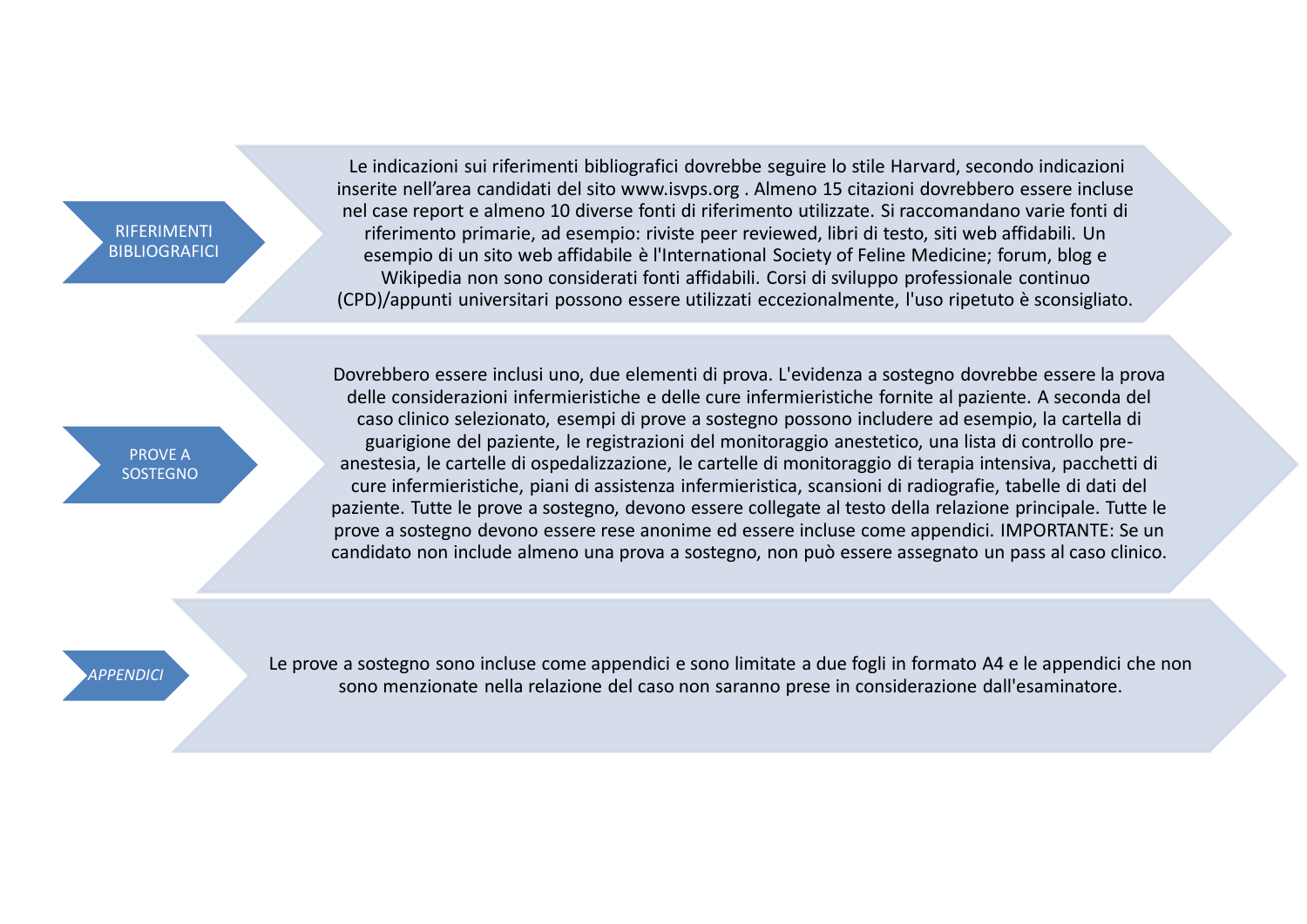RIFERIMENTI **BIBLIOGRAFICI** 

Le indicazioni sui riferimenti bibliografici dovrebbe seguire lo stile Harvard, secondo indicazioni inserite nell'area candidati del sito www.isvps.org . Almeno 15 citazioni dovrebbero essere incluse nel case report e almeno 10 diverse fonti di riferimento utilizzate. Si raccomandano varie fonti di riferimento primarie, ad esempio: riviste peer reviewed, libri di testo, siti web affidabili. Un esempio di un sito web affidabile è l'International Society of Feline Medicine; forum, blog e Wikipedia non sono considerati fonti affidabili. Corsi di sviluppo professionale continuo (CPD)/appunti universitari possono essere utilizzati eccezionalmente, l'uso ripetuto è sconsigliato.

PROVE A **SOSTEGNO** 

Dovrebbero essere inclusi uno, due elementi di prova. L'evidenza a sostegno dovrebbe essere la prova delle considerazioni infermieristiche e delle cure infermieristiche fornite al paziente. A seconda del caso clinico selezionato, esempi di prove a sostegno possono includere ad esempio, la cartella di guarigione del paziente, le registrazioni del monitoraggio anestetico, una lista di controllo preanestesia, le cartelle di ospedalizzazione, le cartelle di monitoraggio di terapia intensiva, pacchetti di cure infermieristiche, piani di assistenza infermieristica, scansioni di radiografie, tabelle di dati del paziente. Tutte le prove a sostegno, devono essere collegate al testo della relazione principale. Tutte le prove a sostegno devono essere rese anonime ed essere incluse come appendici. IMPORTANTE: Se un candidato non include almeno una prova a sostegno, non può essere assegnato un pass al caso clinico.

*APPENDICI* Le prove a sostegno sono incluse come appendici e sono limitate a due fogli in formato A4 e le appendici che non sono menzionate nella relazione del caso non saranno prese in considerazione dall'esaminatore.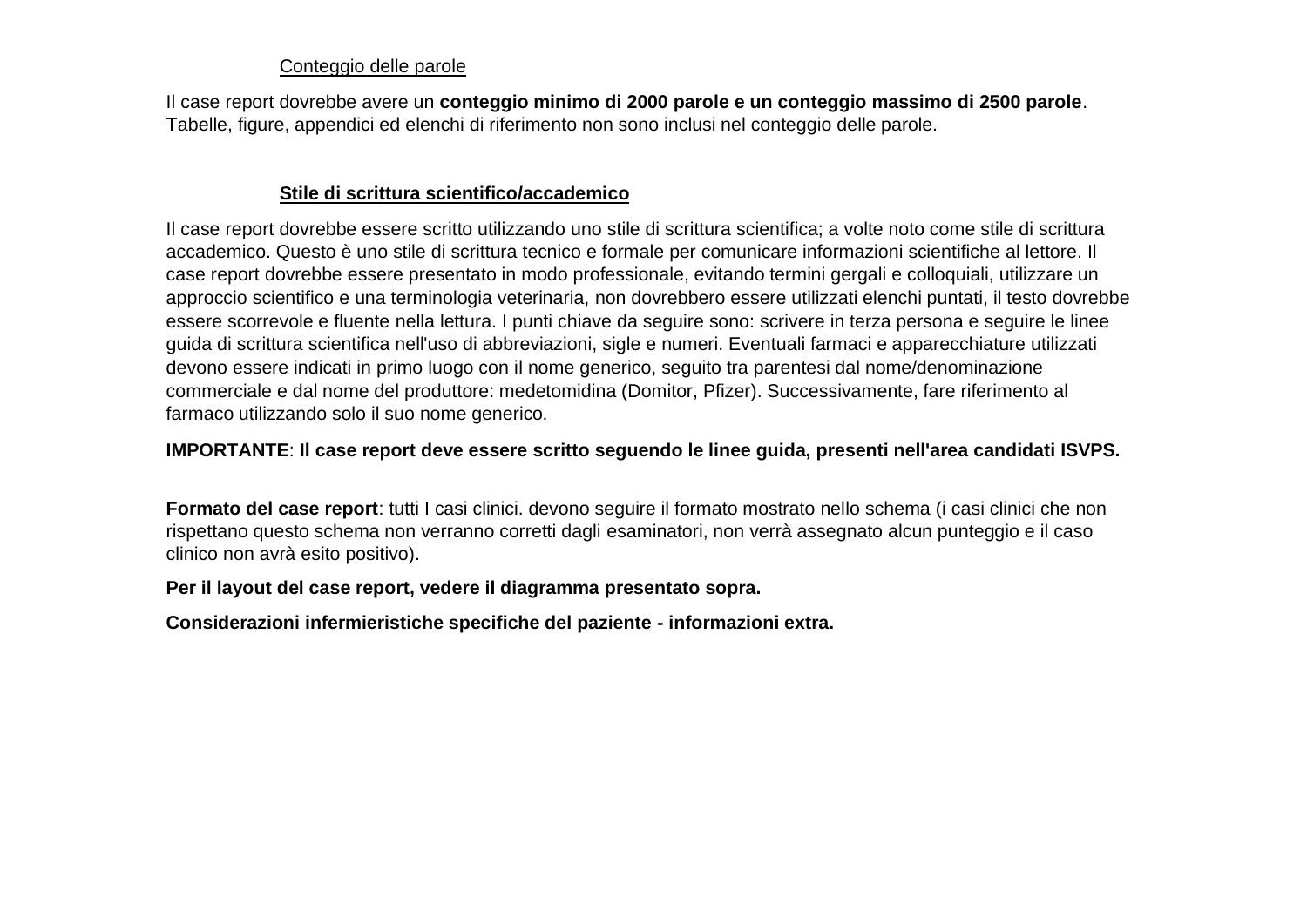# Conteggio delle parole

Il case report dovrebbe avere un **conteggio minimo di 2000 parole e un conteggio massimo di 2500 parole**. Tabelle, figure, appendici ed elenchi di riferimento non sono inclusi nel conteggio delle parole.

# **Stile di scrittura scientifico/accademico**

Il case report dovrebbe essere scritto utilizzando uno stile di scrittura scientifica; a volte noto come stile di scrittura accademico. Questo è uno stile di scrittura tecnico e formale per comunicare informazioni scientifiche al lettore. Il case report dovrebbe essere presentato in modo professionale, evitando termini gergali e colloquiali, utilizzare un approccio scientifico e una terminologia veterinaria, non dovrebbero essere utilizzati elenchi puntati, il testo dovrebbe essere scorrevole e fluente nella lettura. I punti chiave da seguire sono: scrivere in terza persona e seguire le linee guida di scrittura scientifica nell'uso di abbreviazioni, sigle e numeri. Eventuali farmaci e apparecchiature utilizzati devono essere indicati in primo luogo con il nome generico, seguito tra parentesi dal nome/denominazione commerciale e dal nome del produttore: medetomidina (Domitor, Pfizer). Successivamente, fare riferimento al farmaco utilizzando solo il suo nome generico.

# **IMPORTANTE**: **Il case report deve essere scritto seguendo le linee guida, presenti nell'area candidati ISVPS.**

**Formato del case report**: tutti I casi clinici. devono seguire il formato mostrato nello schema (i casi clinici che non rispettano questo schema non verranno corretti dagli esaminatori, non verrà assegnato alcun punteggio e il caso clinico non avrà esito positivo).

# **Per il layout del case report, vedere il diagramma presentato sopra.**

**Considerazioni infermieristiche specifiche del paziente - informazioni extra.**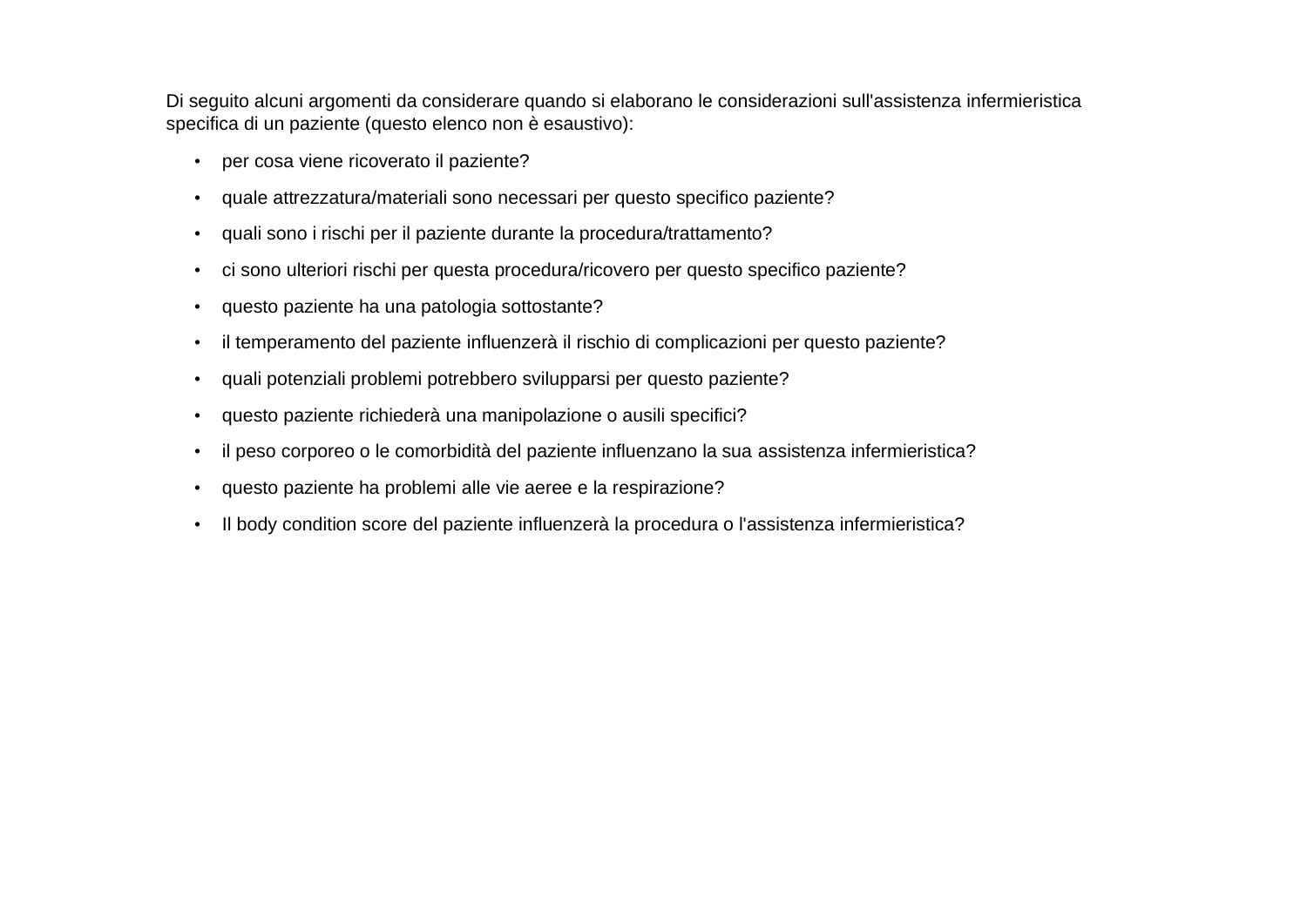Di seguito alcuni argomenti da considerare quando si elaborano le considerazioni sull'assistenza infermieristica specifica di un paziente (questo elenco non è esaustivo):

- per cosa viene ricoverato il paziente?
- quale attrezzatura/materiali sono necessari per questo specifico paziente?
- quali sono i rischi per il paziente durante la procedura/trattamento?
- ci sono ulteriori rischi per questa procedura/ricovero per questo specifico paziente?
- questo paziente ha una patologia sottostante?
- il temperamento del paziente influenzerà il rischio di complicazioni per questo paziente?
- quali potenziali problemi potrebbero svilupparsi per questo paziente?
- questo paziente richiederà una manipolazione o ausili specifici?
- il peso corporeo o le comorbidità del paziente influenzano la sua assistenza infermieristica?
- questo paziente ha problemi alle vie aeree e la respirazione?
- Il body condition score del paziente influenzerà la procedura o l'assistenza infermieristica?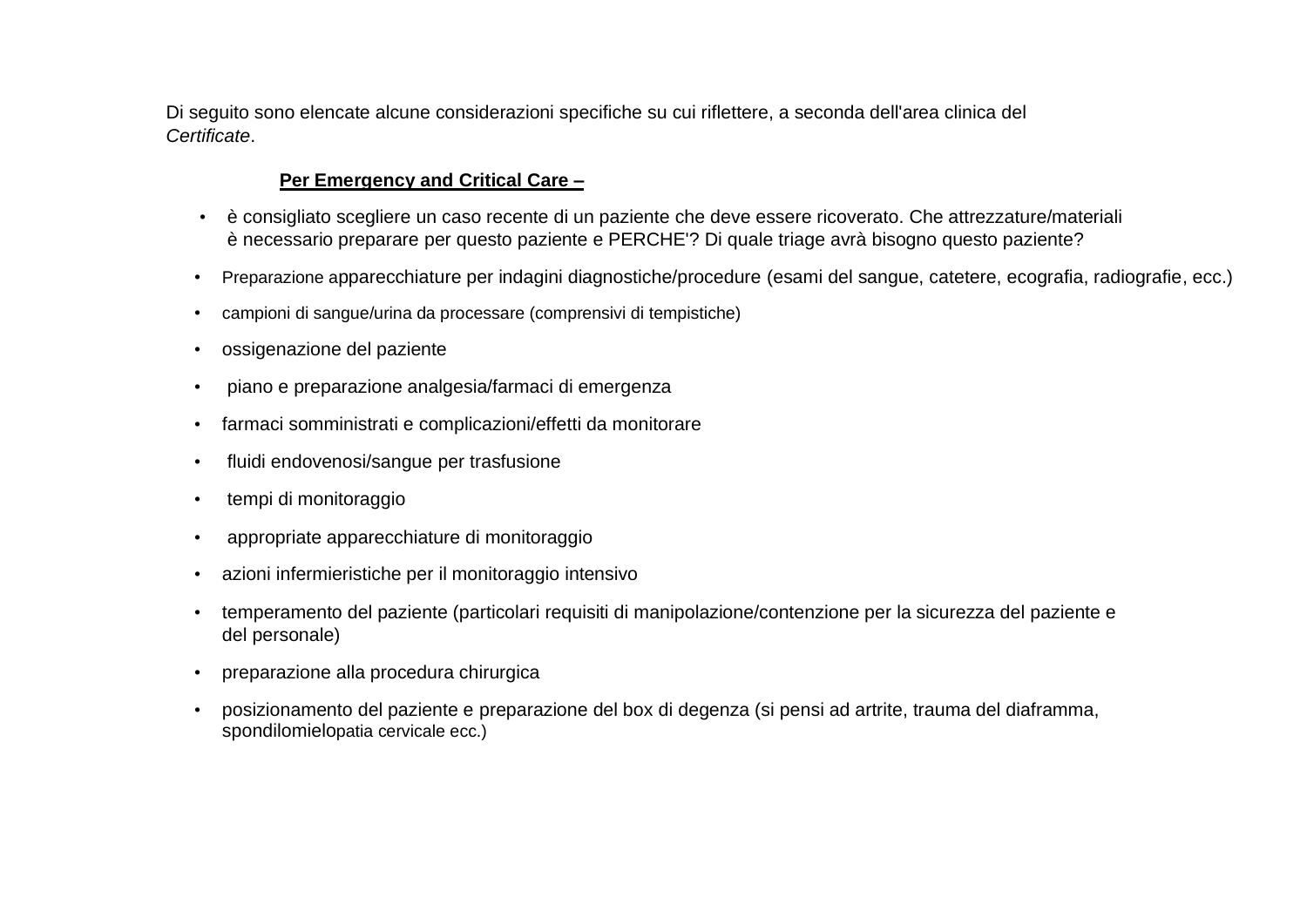Di seguito sono elencate alcune considerazioni specifiche su cui riflettere, a seconda dell'area clinica del *Certificate*.

# **Per Emergency and Critical Care –**

- è consigliato scegliere un caso recente di un paziente che deve essere ricoverato. Che attrezzature/materiali è necessario preparare per questo paziente e PERCHE'? Di quale triage avrà bisogno questo paziente?
- Preparazione apparecchiature per indagini diagnostiche/procedure (esami del sangue, catetere, ecografia, radiografie, ecc.)
- campioni di sangue/urina da processare (comprensivi di tempistiche)
- ossigenazione del paziente
- piano e preparazione analgesia/farmaci di emergenza
- farmaci somministrati e complicazioni/effetti da monitorare
- fluidi endovenosi/sangue per trasfusione
- tempi di monitoraggio
- appropriate apparecchiature di monitoraggio
- azioni infermieristiche per il monitoraggio intensivo
- temperamento del paziente (particolari requisiti di manipolazione/contenzione per la sicurezza del paziente e del personale)
- preparazione alla procedura chirurgica
- posizionamento del paziente e preparazione del box di degenza (si pensi ad artrite, trauma del diaframma, spondilomielopatia cervicale ecc.)